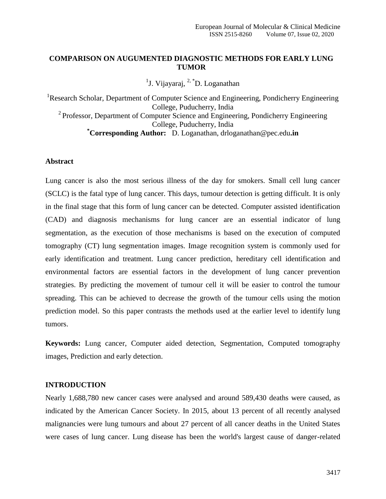## **COMPARISON ON AUGUMENTED DIAGNOSTIC METHODS FOR EARLY LUNG TUMOR**

<sup>1</sup>J. Vijayaraj, <sup>2, \*</sup>D. Loganathan

<sup>1</sup>Research Scholar, Department of Computer Science and Engineering, Pondicherry Engineering College, Puducherry, India <sup>2</sup> Professor, Department of Computer Science and Engineering, Pondicherry Engineering College, Puducherry, India **\*Corresponding Author:** D. Loganathan, drloganathan@pec.edu**.in**

### **Abstract**

Lung cancer is also the most serious illness of the day for smokers. Small cell lung cancer (SCLC) is the fatal type of lung cancer. This days, tumour detection is getting difficult. It is only in the final stage that this form of lung cancer can be detected. Computer assisted identification (CAD) and diagnosis mechanisms for lung cancer are an essential indicator of lung segmentation, as the execution of those mechanisms is based on the execution of computed tomography (CT) lung segmentation images. Image recognition system is commonly used for early identification and treatment. Lung cancer prediction, hereditary cell identification and environmental factors are essential factors in the development of lung cancer prevention strategies. By predicting the movement of tumour cell it will be easier to control the tumour spreading. This can be achieved to decrease the growth of the tumour cells using the motion prediction model. So this paper contrasts the methods used at the earlier level to identify lung tumors.

**Keywords:** Lung cancer, Computer aided detection, Segmentation, Computed tomography images, Prediction and early detection.

## **INTRODUCTION**

Nearly 1,688,780 new cancer cases were analysed and around 589,430 deaths were caused, as indicated by the American Cancer Society. In 2015, about 13 percent of all recently analysed malignancies were lung tumours and about 27 percent of all cancer deaths in the United States were cases of lung cancer. Lung disease has been the world's largest cause of danger-related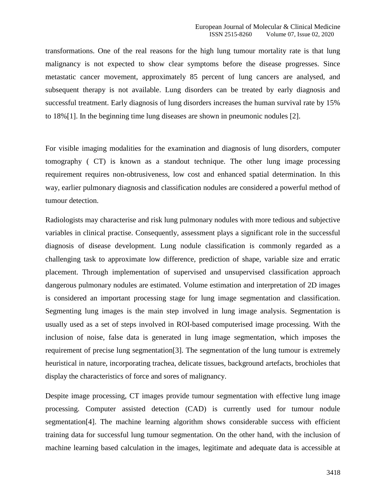transformations. One of the real reasons for the high lung tumour mortality rate is that lung malignancy is not expected to show clear symptoms before the disease progresses. Since metastatic cancer movement, approximately 85 percent of lung cancers are analysed, and subsequent therapy is not available. Lung disorders can be treated by early diagnosis and successful treatment. Early diagnosis of lung disorders increases the human survival rate by 15% to 18%[1]. In the beginning time lung diseases are shown in pneumonic nodules [2].

For visible imaging modalities for the examination and diagnosis of lung disorders, computer tomography ( CT) is known as a standout technique. The other lung image processing requirement requires non-obtrusiveness, low cost and enhanced spatial determination. In this way, earlier pulmonary diagnosis and classification nodules are considered a powerful method of tumour detection.

Radiologists may characterise and risk lung pulmonary nodules with more tedious and subjective variables in clinical practise. Consequently, assessment plays a significant role in the successful diagnosis of disease development. Lung nodule classification is commonly regarded as a challenging task to approximate low difference, prediction of shape, variable size and erratic placement. Through implementation of supervised and unsupervised classification approach dangerous pulmonary nodules are estimated. Volume estimation and interpretation of 2D images is considered an important processing stage for lung image segmentation and classification. Segmenting lung images is the main step involved in lung image analysis. Segmentation is usually used as a set of steps involved in ROI-based computerised image processing. With the inclusion of noise, false data is generated in lung image segmentation, which imposes the requirement of precise lung segmentation[3]. The segmentation of the lung tumour is extremely heuristical in nature, incorporating trachea, delicate tissues, background artefacts, brochioles that display the characteristics of force and sores of malignancy.

Despite image processing, CT images provide tumour segmentation with effective lung image processing. Computer assisted detection (CAD) is currently used for tumour nodule segmentation[4]. The machine learning algorithm shows considerable success with efficient training data for successful lung tumour segmentation. On the other hand, with the inclusion of machine learning based calculation in the images, legitimate and adequate data is accessible at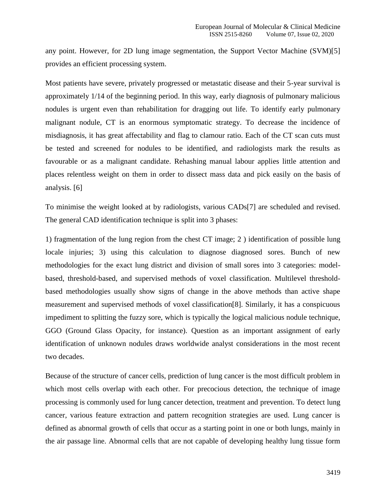any point. However, for 2D lung image segmentation, the Support Vector Machine (SVM)[5] provides an efficient processing system.

Most patients have severe, privately progressed or metastatic disease and their 5-year survival is approximately 1/14 of the beginning period. In this way, early diagnosis of pulmonary malicious nodules is urgent even than rehabilitation for dragging out life. To identify early pulmonary malignant nodule, CT is an enormous symptomatic strategy. To decrease the incidence of misdiagnosis, it has great affectability and flag to clamour ratio. Each of the CT scan cuts must be tested and screened for nodules to be identified, and radiologists mark the results as favourable or as a malignant candidate. Rehashing manual labour applies little attention and places relentless weight on them in order to dissect mass data and pick easily on the basis of analysis. [6]

To minimise the weight looked at by radiologists, various CADs[7] are scheduled and revised. The general CAD identification technique is split into 3 phases:

1) fragmentation of the lung region from the chest CT image; 2 ) identification of possible lung locale injuries; 3) using this calculation to diagnose diagnosed sores. Bunch of new methodologies for the exact lung district and division of small sores into 3 categories: modelbased, threshold-based, and supervised methods of voxel classification. Multilevel thresholdbased methodologies usually show signs of change in the above methods than active shape measurement and supervised methods of voxel classification[8]. Similarly, it has a conspicuous impediment to splitting the fuzzy sore, which is typically the logical malicious nodule technique, GGO (Ground Glass Opacity, for instance). Question as an important assignment of early identification of unknown nodules draws worldwide analyst considerations in the most recent two decades.

Because of the structure of cancer cells, prediction of lung cancer is the most difficult problem in which most cells overlap with each other. For precocious detection, the technique of image processing is commonly used for lung cancer detection, treatment and prevention. To detect lung cancer, various feature extraction and pattern recognition strategies are used. Lung cancer is defined as abnormal growth of cells that occur as a starting point in one or both lungs, mainly in the air passage line. Abnormal cells that are not capable of developing healthy lung tissue form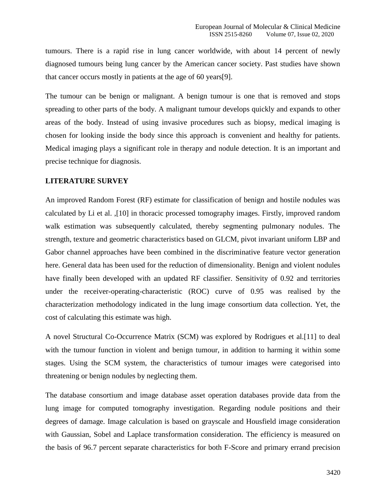tumours. There is a rapid rise in lung cancer worldwide, with about 14 percent of newly diagnosed tumours being lung cancer by the American cancer society. Past studies have shown that cancer occurs mostly in patients at the age of 60 years[9].

The tumour can be benign or malignant. A benign tumour is one that is removed and stops spreading to other parts of the body. A malignant tumour develops quickly and expands to other areas of the body. Instead of using invasive procedures such as biopsy, medical imaging is chosen for looking inside the body since this approach is convenient and healthy for patients. Medical imaging plays a significant role in therapy and nodule detection. It is an important and precise technique for diagnosis.

#### **LITERATURE SURVEY**

An improved Random Forest (RF) estimate for classification of benign and hostile nodules was calculated by Li et al. ,[10] in thoracic processed tomography images. Firstly, improved random walk estimation was subsequently calculated, thereby segmenting pulmonary nodules. The strength, texture and geometric characteristics based on GLCM, pivot invariant uniform LBP and Gabor channel approaches have been combined in the discriminative feature vector generation here. General data has been used for the reduction of dimensionality. Benign and violent nodules have finally been developed with an updated RF classifier. Sensitivity of 0.92 and territories under the receiver-operating-characteristic (ROC) curve of 0.95 was realised by the characterization methodology indicated in the lung image consortium data collection. Yet, the cost of calculating this estimate was high.

A novel Structural Co-Occurrence Matrix (SCM) was explored by Rodrigues et al.[11] to deal with the tumour function in violent and benign tumour, in addition to harming it within some stages. Using the SCM system, the characteristics of tumour images were categorised into threatening or benign nodules by neglecting them.

The database consortium and image database asset operation databases provide data from the lung image for computed tomography investigation. Regarding nodule positions and their degrees of damage. Image calculation is based on grayscale and Housfield image consideration with Gaussian, Sobel and Laplace transformation consideration. The efficiency is measured on the basis of 96.7 percent separate characteristics for both F-Score and primary errand precision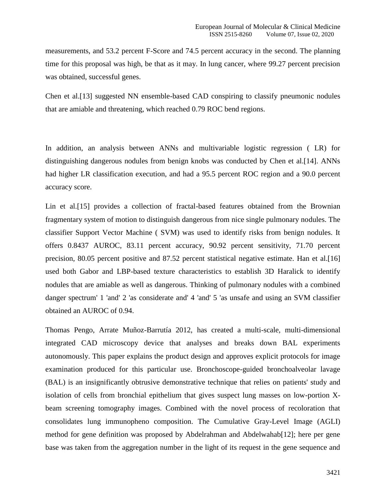measurements, and 53.2 percent F-Score and 74.5 percent accuracy in the second. The planning time for this proposal was high, be that as it may. In lung cancer, where 99.27 percent precision was obtained, successful genes.

Chen et al.[13] suggested NN ensemble-based CAD conspiring to classify pneumonic nodules that are amiable and threatening, which reached 0.79 ROC bend regions.

In addition, an analysis between ANNs and multivariable logistic regression ( LR) for distinguishing dangerous nodules from benign knobs was conducted by Chen et al. [14]. ANNs had higher LR classification execution, and had a 95.5 percent ROC region and a 90.0 percent accuracy score.

Lin et al.[15] provides a collection of fractal-based features obtained from the Brownian fragmentary system of motion to distinguish dangerous from nice single pulmonary nodules. The classifier Support Vector Machine ( SVM) was used to identify risks from benign nodules. It offers 0.8437 AUROC, 83.11 percent accuracy, 90.92 percent sensitivity, 71.70 percent precision, 80.05 percent positive and 87.52 percent statistical negative estimate. Han et al. [16] used both Gabor and LBP-based texture characteristics to establish 3D Haralick to identify nodules that are amiable as well as dangerous. Thinking of pulmonary nodules with a combined danger spectrum' 1 'and' 2 'as considerate and' 4 'and' 5 'as unsafe and using an SVM classifier obtained an AUROC of 0.94.

Thomas Pengo, Arrate Muñoz-Barrutía 2012, has created a multi-scale, multi-dimensional integrated CAD microscopy device that analyses and breaks down BAL experiments autonomously. This paper explains the product design and approves explicit protocols for image examination produced for this particular use. Bronchoscope-guided bronchoalveolar lavage (BAL) is an insignificantly obtrusive demonstrative technique that relies on patients' study and isolation of cells from bronchial epithelium that gives suspect lung masses on low-portion Xbeam screening tomography images. Combined with the novel process of recoloration that consolidates lung immunopheno composition. The Cumulative Gray-Level Image (AGLI) method for gene definition was proposed by Abdelrahman and Abdelwahab[12]; here per gene base was taken from the aggregation number in the light of its request in the gene sequence and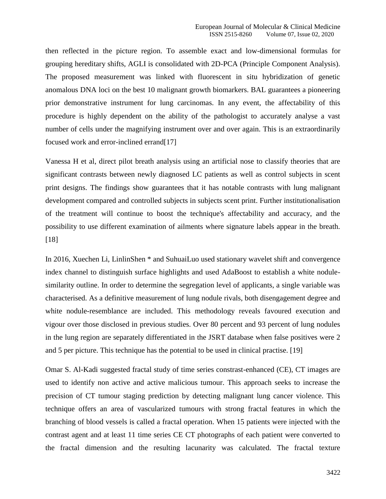then reflected in the picture region. To assemble exact and low-dimensional formulas for grouping hereditary shifts, AGLI is consolidated with 2D-PCA (Principle Component Analysis). The proposed measurement was linked with fluorescent in situ hybridization of genetic anomalous DNA loci on the best 10 malignant growth biomarkers. BAL guarantees a pioneering prior demonstrative instrument for lung carcinomas. In any event, the affectability of this procedure is highly dependent on the ability of the pathologist to accurately analyse a vast number of cells under the magnifying instrument over and over again. This is an extraordinarily focused work and error-inclined errand[17]

Vanessa H et al, direct pilot breath analysis using an artificial nose to classify theories that are significant contrasts between newly diagnosed LC patients as well as control subjects in scent print designs. The findings show guarantees that it has notable contrasts with lung malignant development compared and controlled subjects in subjects scent print. Further institutionalisation of the treatment will continue to boost the technique's affectability and accuracy, and the possibility to use different examination of ailments where signature labels appear in the breath. [18]

In 2016, Xuechen Li, LinlinShen \* and SuhuaiLuo used stationary wavelet shift and convergence index channel to distinguish surface highlights and used AdaBoost to establish a white nodulesimilarity outline. In order to determine the segregation level of applicants, a single variable was characterised. As a definitive measurement of lung nodule rivals, both disengagement degree and white nodule-resemblance are included. This methodology reveals favoured execution and vigour over those disclosed in previous studies. Over 80 percent and 93 percent of lung nodules in the lung region are separately differentiated in the JSRT database when false positives were 2 and 5 per picture. This technique has the potential to be used in clinical practise. [19]

Omar S. Al-Kadi suggested fractal study of time series constrast-enhanced (CE), CT images are used to identify non active and active malicious tumour. This approach seeks to increase the precision of CT tumour staging prediction by detecting malignant lung cancer violence. This technique offers an area of vascularized tumours with strong fractal features in which the branching of blood vessels is called a fractal operation. When 15 patients were injected with the contrast agent and at least 11 time series CE CT photographs of each patient were converted to the fractal dimension and the resulting lacunarity was calculated. The fractal texture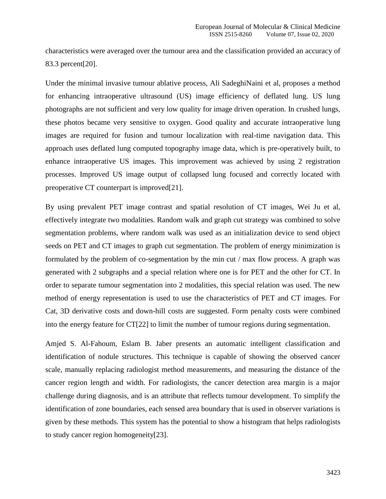characteristics were averaged over the tumour area and the classification provided an accuracy of 83.3 percent[20].

Under the minimal invasive tumour ablative process, Ali SadeghiNaini et al, proposes a method for enhancing intraoperative ultrasound (US) image efficiency of deflated lung. US lung photographs are not sufficient and very low quality for image driven operation. In crushed lungs, these photos became very sensitive to oxygen. Good quality and accurate intraoperative lung images are required for fusion and tumour localization with real-time navigation data. This approach uses deflated lung computed topography image data, which is pre-operatively built, to enhance intraoperative US images. This improvement was achieved by using 2 registration processes. Improved US image output of collapsed lung focused and correctly located with preoperative CT counterpart is improved[21].

By using prevalent PET image contrast and spatial resolution of CT images, Wei Ju et al, effectively integrate two modalities. Random walk and graph cut strategy was combined to solve segmentation problems, where random walk was used as an initialization device to send object seeds on PET and CT images to graph cut segmentation. The problem of energy minimization is formulated by the problem of co-segmentation by the min cut / max flow process. A graph was generated with 2 subgraphs and a special relation where one is for PET and the other for CT. In order to separate tumour segmentation into 2 modalities, this special relation was used. The new method of energy representation is used to use the characteristics of PET and CT images. For Cat, 3D derivative costs and down-hill costs are suggested. Form penalty costs were combined into the energy feature for CT[22] to limit the number of tumour regions during segmentation.

Amjed S. Al-Fahoum, Eslam B. Jaber presents an automatic intelligent classification and identification of nodule structures. This technique is capable of showing the observed cancer scale, manually replacing radiologist method measurements, and measuring the distance of the cancer region length and width. For radiologists, the cancer detection area margin is a major challenge during diagnosis, and is an attribute that reflects tumour development. To simplify the identification of zone boundaries, each sensed area boundary that is used in observer variations is given by these methods. This system has the potential to show a histogram that helps radiologists to study cancer region homogeneity[23].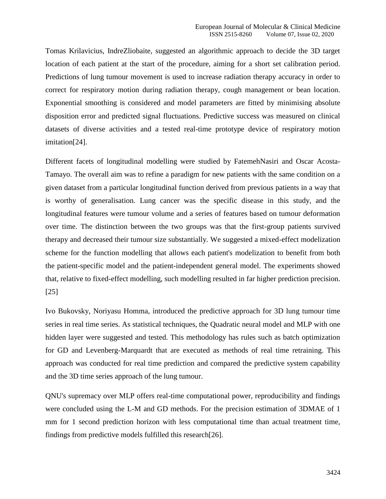Tomas Krilavicius, IndreZliobaite, suggested an algorithmic approach to decide the 3D target location of each patient at the start of the procedure, aiming for a short set calibration period. Predictions of lung tumour movement is used to increase radiation therapy accuracy in order to correct for respiratory motion during radiation therapy, cough management or bean location. Exponential smoothing is considered and model parameters are fitted by minimising absolute disposition error and predicted signal fluctuations. Predictive success was measured on clinical datasets of diverse activities and a tested real-time prototype device of respiratory motion imitation[24].

Different facets of longitudinal modelling were studied by FatemehNasiri and Oscar Acosta-Tamayo. The overall aim was to refine a paradigm for new patients with the same condition on a given dataset from a particular longitudinal function derived from previous patients in a way that is worthy of generalisation. Lung cancer was the specific disease in this study, and the longitudinal features were tumour volume and a series of features based on tumour deformation over time. The distinction between the two groups was that the first-group patients survived therapy and decreased their tumour size substantially. We suggested a mixed-effect modelization scheme for the function modelling that allows each patient's modelization to benefit from both the patient-specific model and the patient-independent general model. The experiments showed that, relative to fixed-effect modelling, such modelling resulted in far higher prediction precision. [25]

Ivo Bukovsky, Noriyasu Homma, introduced the predictive approach for 3D lung tumour time series in real time series. As statistical techniques, the Quadratic neural model and MLP with one hidden layer were suggested and tested. This methodology has rules such as batch optimization for GD and Levenberg-Marquardt that are executed as methods of real time retraining. This approach was conducted for real time prediction and compared the predictive system capability and the 3D time series approach of the lung tumour.

QNU's supremacy over MLP offers real-time computational power, reproducibility and findings were concluded using the L-M and GD methods. For the precision estimation of 3DMAE of 1 mm for 1 second prediction horizon with less computational time than actual treatment time, findings from predictive models fulfilled this research[26].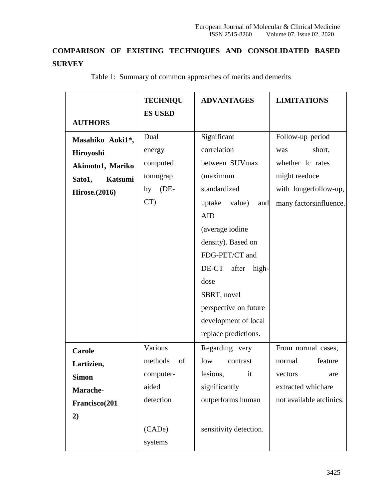# **COMPARISON OF EXISTING TECHNIQUES AND CONSOLIDATED BASED SURVEY**

|                       | <b>TECHNIQU</b> | <b>ADVANTAGES</b>       | <b>LIMITATIONS</b>       |  |
|-----------------------|-----------------|-------------------------|--------------------------|--|
| <b>AUTHORS</b>        | <b>ES USED</b>  |                         |                          |  |
|                       | Dual            |                         |                          |  |
| Masahiko Aoki1*,      |                 | Significant             | Follow-up period         |  |
| Hiroyoshi             | energy          | correlation             | short,<br>was            |  |
| Akimoto1, Mariko      | computed        | between SUVmax          | whether lc rates         |  |
| Sato1,<br>Katsumi     | tomograp        | (maximum                | might reeduce            |  |
| <b>Hirose.</b> (2016) | $(DE-$<br>hy    | standardized            | with longerfollow-up,    |  |
|                       | CT)             | uptake value)<br>and    | many factorsinfluence.   |  |
|                       |                 | AID                     |                          |  |
|                       |                 | (average iodine         |                          |  |
|                       |                 | density). Based on      |                          |  |
|                       |                 | FDG-PET/CT and          |                          |  |
|                       |                 | DE-CT<br>after<br>high- |                          |  |
|                       |                 | dose                    |                          |  |
|                       |                 | SBRT, novel             |                          |  |
|                       |                 | perspective on future   |                          |  |
|                       |                 | development of local    |                          |  |
|                       |                 | replace predictions.    |                          |  |
| <b>Carole</b>         | Various         | Regarding very          | From normal cases,       |  |
| Lartizien,            | methods<br>of   | low<br>contrast         | feature<br>normal        |  |
| <b>Simon</b>          | computer-       | lesions,<br>it          | vectors<br>are           |  |
| Marache-              | aided           | significantly           | extracted whichare       |  |
| Francisco(201         | detection       | outperforms human       | not available atclinics. |  |
| 2)                    |                 |                         |                          |  |
|                       | (CADe)          | sensitivity detection.  |                          |  |
|                       | systems         |                         |                          |  |

Table 1: Summary of common approaches of merits and demerits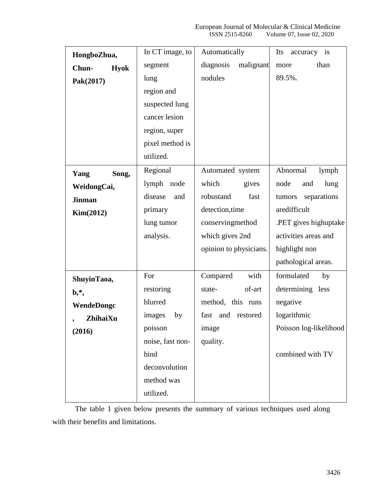| HongboZhua,          | In CT image, to  | Automatically          | Its<br>is<br>accuracy  |
|----------------------|------------------|------------------------|------------------------|
| Chun-<br><b>Hyok</b> | segment          | diagnosis<br>malignant | than<br>more           |
| Pak(2017)            | lung             | nodules                | 89.5%.                 |
|                      | region and       |                        |                        |
|                      | suspected lung   |                        |                        |
|                      | cancer lesion    |                        |                        |
|                      | region, super    |                        |                        |
|                      | pixel method is  |                        |                        |
|                      | utilized.        |                        |                        |
| Song,<br>Yang        | Regional         | Automated system       | Abnormal<br>lymph      |
| WeidongCai,          | lymph node       | which<br>gives         | node<br>lung<br>and    |
| <b>Jinman</b>        | disease<br>and   | robustand<br>fast      | tumors separations     |
| Kim(2012)            | primary          | detection, time        | aredifficult           |
|                      | lung tumor       | conservingmethod       | .PET gives highuptake  |
|                      | analysis.        | which gives 2nd        | activities areas and   |
|                      |                  | opinion to physicians. | highlight non          |
|                      |                  |                        | pathological areas.    |
| ShuyinTaoa,          | For              | Compared<br>with       | formulated<br>by       |
| $\mathbf{b},^*,$     | restoring        | of-art<br>state-       | determining less       |
| WendeDongc           | blurred          | method, this runs      | negative               |
| ZhihaiXu             | images<br>by     | fast<br>and restored   | logarithmic            |
| (2016)               | poisson          | image                  | Poisson log-likelihood |
|                      | noise, fast non- | quality.               |                        |
|                      | bind             |                        | combined with TV       |
|                      | deconvolution    |                        |                        |
|                      | method was       |                        |                        |
|                      | utilized.        |                        |                        |
|                      |                  |                        |                        |

The table 1 given below presents the summary of various techniques used along with their benefits and limitations.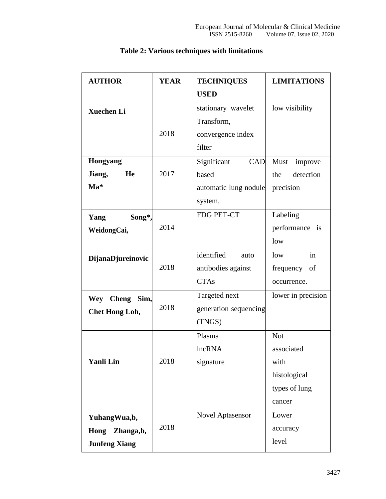| <b>AUTHOR</b>             | <b>YEAR</b>           | <b>TECHNIQUES</b>         | <b>LIMITATIONS</b> |  |
|---------------------------|-----------------------|---------------------------|--------------------|--|
|                           |                       | <b>USED</b>               |                    |  |
| <b>Xuechen Li</b>         |                       | stationary wavelet        | low visibility     |  |
|                           |                       | Transform,                |                    |  |
|                           | 2018                  | convergence index         |                    |  |
|                           |                       | filter                    |                    |  |
| <b>Hongyang</b>           |                       | Significant<br><b>CAD</b> | Must<br>improve    |  |
| Jiang,<br>He              | 2017                  | based                     | detection<br>the   |  |
| $\mathbf{M} \mathbf{a}^*$ |                       | automatic lung nodule     | precision          |  |
|                           |                       | system.                   |                    |  |
| Song*,<br>Yang            |                       | FDG PET-CT                | Labeling           |  |
| WeidongCai,               | 2014                  |                           | performance is     |  |
|                           |                       |                           | low                |  |
| DijanaDjureinovic         |                       | identified<br>auto        | in<br>low          |  |
|                           | 2018                  | antibodies against        | frequency of       |  |
|                           |                       | <b>CTAs</b>               | occurrence.        |  |
| <b>Cheng</b><br>Wey       | Targeted next<br>Sim, |                           | lower in precision |  |
| <b>Chet Hong Loh,</b>     | 2018                  | generation sequencing     |                    |  |
|                           |                       | (TNGS)                    |                    |  |
|                           |                       | Plasma                    | <b>Not</b>         |  |
|                           |                       | lncRNA                    | associated         |  |
| <b>Yanli Lin</b>          | 2018                  | signature                 | with               |  |
|                           |                       |                           | histological       |  |
|                           |                       |                           | types of lung      |  |
|                           |                       |                           | cancer             |  |
| YuhangWua,b,              |                       | <b>Novel Aptasensor</b>   | Lower              |  |
| Hong<br>Zhanga,b,         | 2018                  |                           | accuracy           |  |
| <b>Junfeng Xiang</b>      |                       |                           | level              |  |

# **Table 2: Various techniques with limitations**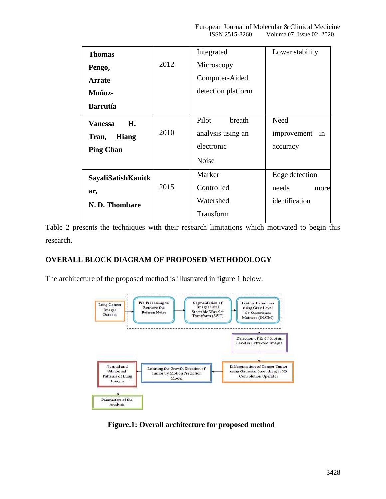| <b>Thomas</b>             |      | Integrated         | Lower stability |
|---------------------------|------|--------------------|-----------------|
| Pengo,                    | 2012 | Microscopy         |                 |
| <b>Arrate</b>             |      | Computer-Aided     |                 |
| Muñoz-                    |      | detection platform |                 |
| <b>Barrutía</b>           |      |                    |                 |
| Vanessa<br>H.             |      | Pilot<br>breath    | Need            |
| <b>Hiang</b><br>Tran,     | 2010 | analysis using an  | improvement in  |
| <b>Ping Chan</b>          |      | electronic         | accuracy        |
|                           |      | <b>Noise</b>       |                 |
| <b>SayaliSatishKanitk</b> |      | Marker             | Edge detection  |
| ar,                       | 2015 | Controlled         | needs<br>more   |
| N. D. Thombare            |      | Watershed          | identification  |
|                           |      | Transform          |                 |

Table 2 presents the techniques with their research limitations which motivated to begin this research.

# **OVERALL BLOCK DIAGRAM OF PROPOSED METHODOLOGY**

The architecture of the proposed method is illustrated in figure 1 below.



**Figure.1: Overall architecture for proposed method**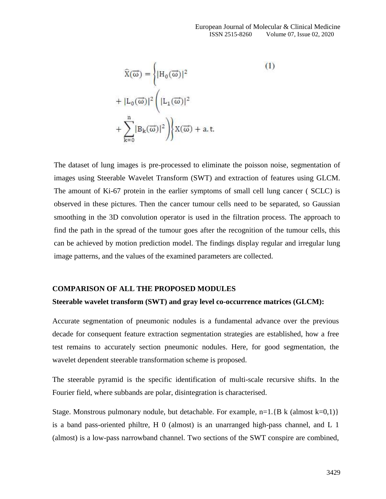$$
\widehat{X}(\vec{\omega}) = \left\{ |H_0(\vec{\omega})|^2
$$
\n
$$
+ |L_0(\vec{\omega})|^2 \left( |L_1(\vec{\omega})|^2 \right) + \sum_{k=0}^{n} |B_k(\vec{\omega})|^2 \right) \left\{ X(\vec{\omega}) + a.t. \right\}
$$
\n(1)

The dataset of lung images is pre-processed to eliminate the poisson noise, segmentation of images using Steerable Wavelet Transform (SWT) and extraction of features using GLCM. The amount of Ki-67 protein in the earlier symptoms of small cell lung cancer ( SCLC) is observed in these pictures. Then the cancer tumour cells need to be separated, so Gaussian smoothing in the 3D convolution operator is used in the filtration process. The approach to find the path in the spread of the tumour goes after the recognition of the tumour cells, this can be achieved by motion prediction model. The findings display regular and irregular lung image patterns, and the values of the examined parameters are collected.

#### **COMPARISON OF ALL THE PROPOSED MODULES**

#### **Steerable wavelet transform (SWT) and gray level co-occurrence matrices (GLCM):**

Accurate segmentation of pneumonic nodules is a fundamental advance over the previous decade for consequent feature extraction segmentation strategies are established, how a free test remains to accurately section pneumonic nodules. Here, for good segmentation, the wavelet dependent steerable transformation scheme is proposed.

The steerable pyramid is the specific identification of multi-scale recursive shifts. In the Fourier field, where subbands are polar, disintegration is characterised.

Stage. Monstrous pulmonary nodule, but detachable. For example,  $n=1$ . {B k (almost k=0,1)} is a band pass-oriented philtre, H 0 (almost) is an unarranged high-pass channel, and L 1 (almost) is a low-pass narrowband channel. Two sections of the SWT conspire are combined,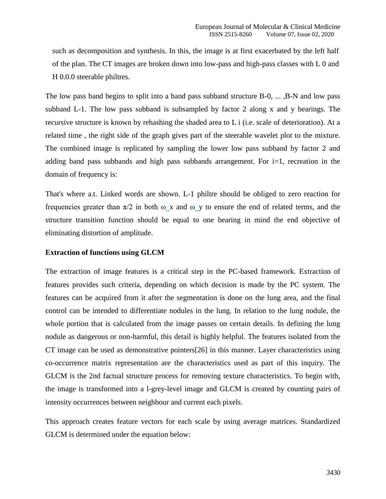such as decomposition and synthesis. In this, the image is at first exacerbated by the left half of the plan. The CT images are broken down into low-pass and high-pass classes with L 0 and H 0.0.0 steerable philtres.

The low pass band begins to split into a band pass subband structure B-0, ... ,B-N and low pass subband L-1. The low pass subband is subsampled by factor 2 along x and y bearings. The recursive structure is known by rehashing the shaded area to L i (i.e. scale of deterioration). At a related time , the right side of the graph gives part of the steerable wavelet plot to the mixture. The combined image is replicated by sampling the lower low pass subband by factor 2 and adding band pass subbands and high pass subbands arrangement. For i=1, recreation in the domain of frequency is:

That's where a.t. Linked words are shown. L-1 philtre should be obliged to zero reaction for frequencies greater than  $\pi/2$  in both  $\omega$  x and  $\omega$  y to ensure the end of related terms, and the structure transition function should be equal to one bearing in mind the end objective of eliminating distortion of amplitude.

#### **Extraction of functions using GLCM**

The extraction of image features is a critical step in the PC-based framework. Extraction of features provides such criteria, depending on which decision is made by the PC system. The features can be acquired from it after the segmentation is done on the lung area, and the final control can be intended to differentiate nodules in the lung. In relation to the lung nodule, the whole portion that is calculated from the image passes on certain details. In defining the lung nodule as dangerous or non-harmful, this detail is highly helpful. The features isolated from the CT image can be used as demonstrative pointers[26] in this manner. Layer characteristics using co-occurrence matrix representation are the characteristics used as part of this inquiry. The GLCM is the 2nd factual structure process for removing texture characteristics. To begin with, the image is transformed into a l-grey-level image and GLCM is created by counting pairs of intensity occurrences between neighbour and current each pixels.

This approach creates feature vectors for each scale by using average matrices. Standardized GLCM is determined under the equation below: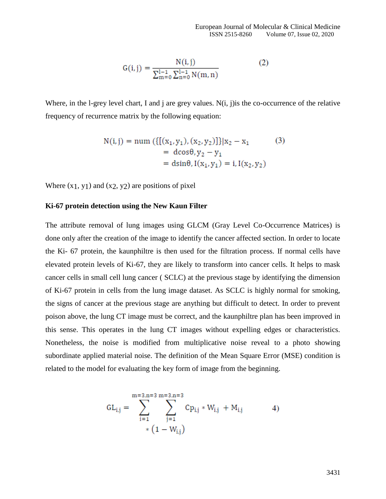$$
G(i,j) = \frac{N(i,j)}{\sum_{m=0}^{l-1} \sum_{n=0}^{l-1} N(m,n)}
$$
(2)

Where, in the l-grey level chart, I and j are grey values. N(i, j) is the co-occurrence of the relative frequency of recurrence matrix by the following equation:

$$
N(i, j) = num \left( \{ [(x_1, y_1), (x_2, y_2)] \} | x_2 - x_1 \right)
$$
  
=  $dcos \theta$ ,  $y_2 - y_1$   
=  $dsin \theta$ ,  $I(x_1, y_1) = i$ ,  $I(x_2, y_2)$  (3)

Where  $(x_1, y_1)$  and  $(x_2, y_2)$  are positions of pixel

#### **Ki-67 protein detection using the New Kaun Filter**

The attribute removal of lung images using GLCM (Gray Level Co-Occurrence Matrices) is done only after the creation of the image to identify the cancer affected section. In order to locate the Ki- 67 protein, the kaunphiltre is then used for the filtration process. If normal cells have elevated protein levels of Ki-67, they are likely to transform into cancer cells. It helps to mask cancer cells in small cell lung cancer ( SCLC) at the previous stage by identifying the dimension of Ki-67 protein in cells from the lung image dataset. As SCLC is highly normal for smoking, the signs of cancer at the previous stage are anything but difficult to detect. In order to prevent poison above, the lung CT image must be correct, and the kaunphiltre plan has been improved in this sense. This operates in the lung CT images without expelling edges or characteristics. Nonetheless, the noise is modified from multiplicative noise reveal to a photo showing subordinate applied material noise. The definition of the Mean Square Error (MSE) condition is related to the model for evaluating the key form of image from the beginning.

$$
GL_{i,j} = \sum_{i=1}^{m=3, n=3} \sum_{j=1}^{m=3, n=3} Cp_{i,j} * W_{i,j} + M_{i,j}
$$
 (1 - W<sub>i,j</sub>)

3431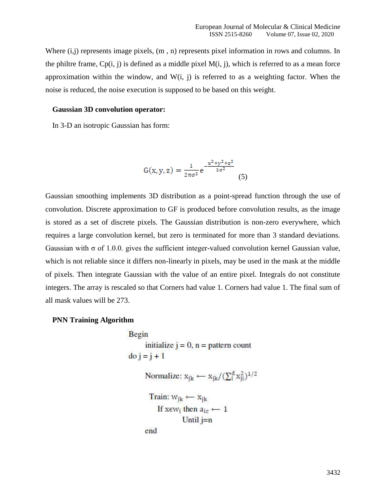Where  $(i,j)$  represents image pixels,  $(m, n)$  represents pixel information in rows and columns. In the philtre frame,  $Cp(i, j)$  is defined as a middle pixel  $M(i, j)$ , which is referred to as a mean force approximation within the window, and  $W(i, j)$  is referred to as a weighting factor. When the noise is reduced, the noise execution is supposed to be based on this weight.

#### **Gaussian 3D convolution operator:**

In 3-D an isotropic Gaussian has form:

$$
G(x, y, z) = \frac{1}{2\pi\sigma^2} e^{-\frac{x^2 + y^2 + z^2}{2\sigma^2}}
$$
 (5)

Gaussian smoothing implements 3D distribution as a point-spread function through the use of convolution. Discrete approximation to GF is produced before convolution results, as the image is stored as a set of discrete pixels. The Gaussian distribution is non-zero everywhere, which requires a large convolution kernel, but zero is terminated for more than 3 standard deviations. Gaussian with  $\sigma$  of 1.0.0. gives the sufficient integer-valued convolution kernel Gaussian value, which is not reliable since it differs non-linearly in pixels, may be used in the mask at the middle of pixels. Then integrate Gaussian with the value of an entire pixel. Integrals do not constitute integers. The array is rescaled so that Corners had value 1. Corners had value 1. The final sum of all mask values will be 273.

### **PNN Training Algorithm**

```
Begin
        initialize j = 0, n = pattern count
\overline{d}o j = j + 1
       Normalize: x_{jk} \leftarrow x_{jk}/(\sum_{i}^{d} x_{ji}^{2})^{1/2}Train: w_{ik} \leftarrow x_{ik}If xew<sub>i</sub> then a_{ic} \leftarrow 1Until j=nend
```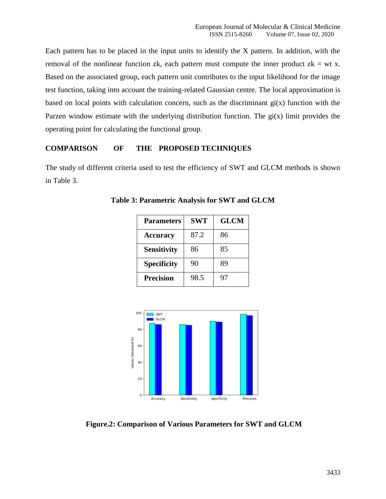Each pattern has to be placed in the input units to identify the X pattern. In addition, with the removal of the nonlinear function zk, each pattern must compute the inner product  $z = w t x$ . Based on the associated group, each pattern unit contributes to the input likelihood for the image test function, taking into account the training-related Gaussian centre. The local approximation is based on local points with calculation concern, such as the discriminant  $gi(x)$  function with the Parzen window estimate with the underlying distribution function. The  $gi(x)$  limit provides the operating point for calculating the functional group.

## **COMPARISON OF THE PROPOSED TECHNIQUES**

The study of different criteria used to test the efficiency of SWT and GLCM methods is shown in Table 3.

| <b>Parameters</b>  | <b>SWT</b> | <b>GLCM</b> |
|--------------------|------------|-------------|
| <b>Accuracy</b>    | 87.2       | 86          |
| <b>Sensitivity</b> | 86         | 85          |
| <b>Specificity</b> | 90         | 89          |
| <b>Precision</b>   | 98.5       | 97          |

**Table 3: Parametric Analysis for SWT and GLCM**



**Figure.2: Comparison of Various Parameters for SWT and GLCM**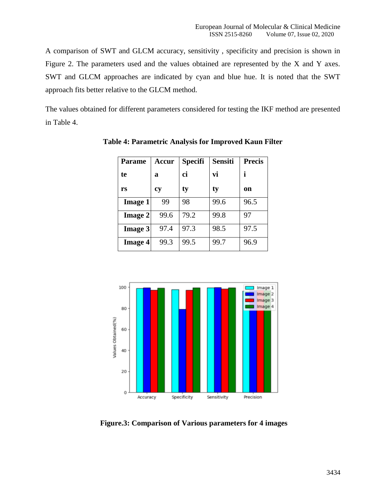A comparison of SWT and GLCM accuracy, sensitivity , specificity and precision is shown in Figure 2. The parameters used and the values obtained are represented by the X and Y axes. SWT and GLCM approaches are indicated by cyan and blue hue. It is noted that the SWT approach fits better relative to the GLCM method.

The values obtained for different parameters considered for testing the IKF method are presented in Table 4.

| <b>Parame</b>  | Accur     | <b>Specifi</b> | <b>Sensiti</b> | <b>Precis</b> |
|----------------|-----------|----------------|----------------|---------------|
| te             | a         | ci             | vi             |               |
| rs             | <b>CV</b> | ty             | ty             | on            |
| <b>Image 1</b> | 99        | 98             | 99.6           | 96.5          |
| <b>Image 2</b> | 99.6      | 79.2           | 99.8           | 97            |
| Image 3        | 97.4      | 97.3           | 98.5           | 97.5          |
| <b>Image 4</b> | 99.3      | 99.5           | 99.7           | 96.9          |

**Table 4: Parametric Analysis for Improved Kaun Filter**



**Figure.3: Comparison of Various parameters for 4 images**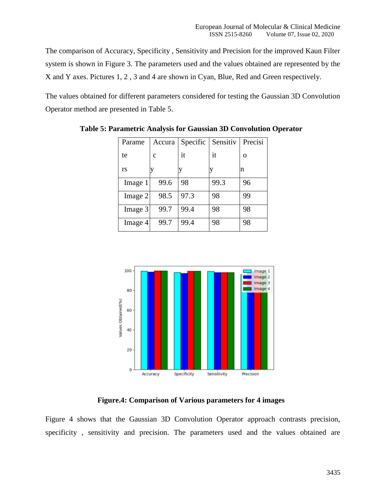The comparison of Accuracy, Specificity , Sensitivity and Precision for the improved Kaun Filter system is shown in Figure 3. The parameters used and the values obtained are represented by the X and Y axes. Pictures 1, 2 , 3 and 4 are shown in Cyan, Blue, Red and Green respectively.

The values obtained for different parameters considered for testing the Gaussian 3D Convolution Operator method are presented in Table 5.

| Parame  | Accura | Specific | Sensitiv | Precisi |
|---------|--------|----------|----------|---------|
| te      | C      | it       | it       | О       |
| rs      |        |          |          | n       |
| Image 1 | 99.6   | 98       | 99.3     | 96      |
| Image 2 | 98.5   | 97.3     | 98       | 99      |
| Image 3 | 99.7   | 99.4     | 98       | 98      |
| Image 4 | 99.7   | 99.4     | 98       | 98      |

**Table 5: Parametric Analysis for Gaussian 3D Convolution Operator**



**Figure.4: Comparison of Various parameters for 4 images**

Figure 4 shows that the Gaussian 3D Convolution Operator approach contrasts precision, specificity , sensitivity and precision. The parameters used and the values obtained are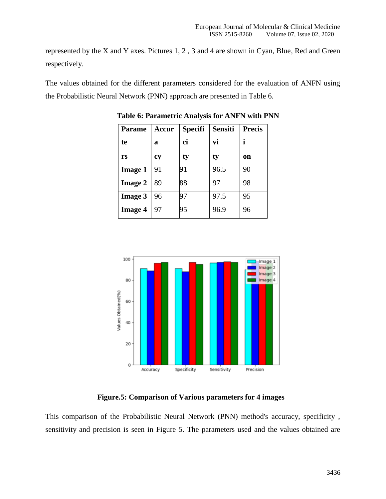represented by the X and Y axes. Pictures 1, 2 , 3 and 4 are shown in Cyan, Blue, Red and Green respectively.

The values obtained for the different parameters considered for the evaluation of ANFN using the Probabilistic Neural Network (PNN) approach are presented in Table 6.

| <b>Parame</b>  | Accur | <b>Specifi</b> | <b>Sensiti</b> | <b>Precis</b> |
|----------------|-------|----------------|----------------|---------------|
| te             | a     | ci             | vi             |               |
| rs             | cy    | ty             | ty             | <b>on</b>     |
| <b>Image 1</b> | 91    | 91             | 96.5           | 90            |
| <b>Image 2</b> | 89    | 88             | 97             | 98            |
| <b>Image 3</b> | 96    | 97             | 97.5           | 95            |
| <b>Image 4</b> | 97    | 95             | 96.9           | 96            |

**Table 6: Parametric Analysis for ANFN with PNN**



**Figure.5: Comparison of Various parameters for 4 images**

This comparison of the Probabilistic Neural Network (PNN) method's accuracy, specificity , sensitivity and precision is seen in Figure 5. The parameters used and the values obtained are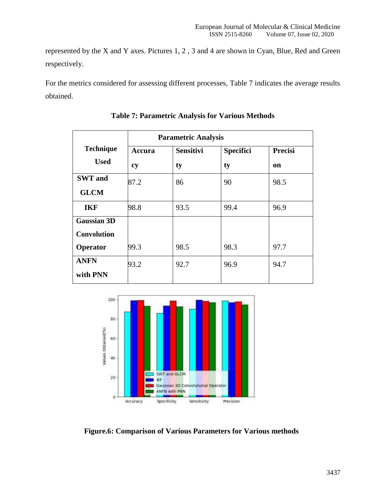represented by the X and Y axes. Pictures 1, 2 , 3 and 4 are shown in Cyan, Blue, Red and Green respectively.

For the metrics considered for assessing different processes, Table 7 indicates the average results obtained.

|                    | <b>Parametric Analysis</b> |                  |                  |                |
|--------------------|----------------------------|------------------|------------------|----------------|
| <b>Technique</b>   | Accura                     | <b>Sensitivi</b> | <b>Specifici</b> | <b>Precisi</b> |
| <b>Used</b>        | cy                         | ty               | ty               | on             |
| <b>SWT</b> and     | 87.2                       | 86               | 90               | 98.5           |
| <b>GLCM</b>        |                            |                  |                  |                |
| <b>IKF</b>         | 98.8                       | 93.5             | 99.4             | 96.9           |
| <b>Gaussian 3D</b> |                            |                  |                  |                |
| <b>Convolution</b> |                            |                  |                  |                |
| Operator           | 99.3                       | 98.5             | 98.3             | 97.7           |
| <b>ANFN</b>        | 93.2                       | 92.7             | 96.9             | 94.7           |
| with PNN           |                            |                  |                  |                |

**Table 7: Parametric Analysis for Various Methods**



**Figure.6: Comparison of Various Parameters for Various methods**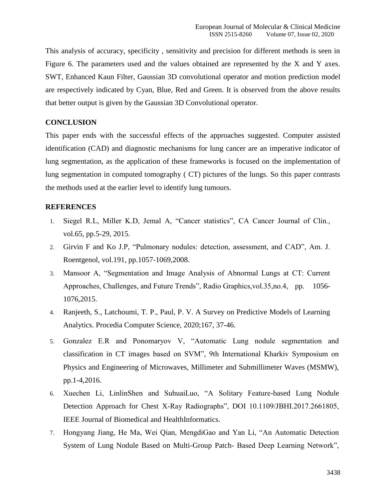This analysis of accuracy, specificity , sensitivity and precision for different methods is seen in Figure 6. The parameters used and the values obtained are represented by the X and Y axes. SWT, Enhanced Kaun Filter, Gaussian 3D convolutional operator and motion prediction model are respectively indicated by Cyan, Blue, Red and Green. It is observed from the above results that better output is given by the Gaussian 3D Convolutional operator.

## **CONCLUSION**

This paper ends with the successful effects of the approaches suggested. Computer assisted identification (CAD) and diagnostic mechanisms for lung cancer are an imperative indicator of lung segmentation, as the application of these frameworks is focused on the implementation of lung segmentation in computed tomography ( CT) pictures of the lungs. So this paper contrasts the methods used at the earlier level to identify lung tumours.

### **REFERENCES**

- 1. Siegel R.L, Miller K.D, Jemal A, "Cancer statistics", CA Cancer Journal of Clin., vol.65, pp.5-29, 2015.
- 2. Girvin F and Ko J.P, "Pulmonary nodules: detection, assessment, and CAD", Am. J. Roentgenol, vol.191, pp.1057-1069,2008.
- 3. Mansoor A, "Segmentation and Image Analysis of Abnormal Lungs at CT: Current Approaches, Challenges, and Future Trends", Radio Graphics,vol.35,no.4, pp. 1056- 1076,2015.
- 4. Ranjeeth, S., Latchoumi, T. P., Paul, P. V. A Survey on Predictive Models of Learning Analytics. Procedia Computer Science, 2020;167, 37-46.
- 5. Gonzalez E.R and Ponomaryov V, "Automatic Lung nodule segmentation and classification in CT images based on SVM", 9th International Kharkiv Symposium on Physics and Engineering of Microwaves, Millimeter and Submillimeter Waves (MSMW), pp.1-4,2016.
- 6. Xuechen Li, LinlinShen and SuhuaiLuo, "A Solitary Feature-based Lung Nodule Detection Approach for Chest X-Ray Radiographs", DOI 10.1109/JBHI.2017.2661805, IEEE Journal of Biomedical and HealthInformatics.
- 7. Hongyang Jiang, He Ma, Wei Qian, MengdiGao and Yan Li, "An Automatic Detection System of Lung Nodule Based on Multi-Group Patch- Based Deep Learning Network",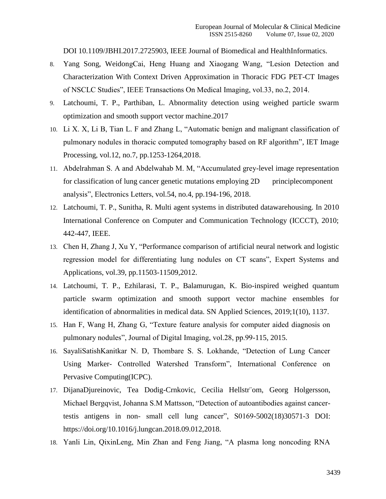DOI 10.1109/JBHI.2017.2725903, IEEE Journal of Biomedical and HealthInformatics.

- 8. Yang Song, WeidongCai, Heng Huang and Xiaogang Wang, "Lesion Detection and Characterization With Context Driven Approximation in Thoracic FDG PET-CT Images of NSCLC Studies", IEEE Transactions On Medical Imaging, vol.33, no.2, 2014.
- 9. Latchoumi, T. P., Parthiban, L. Abnormality detection using weighed particle swarm optimization and smooth support vector machine.2017
- 10. Li X. X, Li B, Tian L. F and Zhang L, "Automatic benign and malignant classification of pulmonary nodules in thoracic computed tomography based on RF algorithm", IET Image Processing, vol.12, no.7, pp.1253-1264,2018.
- 11. Abdelrahman S. A and Abdelwahab M. M, "Accumulated grey-level image representation for classification of lung cancer genetic mutations employing 2D principlecomponent analysis", Electronics Letters, vol.54, no.4, pp.194-196, 2018.
- 12. Latchoumi, T. P., Sunitha, R. Multi agent systems in distributed datawarehousing. In 2010 International Conference on Computer and Communication Technology (ICCCT), 2010; 442-447, IEEE.
- 13. Chen H, Zhang J, Xu Y, "Performance comparison of artificial neural network and logistic regression model for differentiating lung nodules on CT scans", Expert Systems and Applications, vol.39, pp.11503-11509,2012.
- 14. Latchoumi, T. P., Ezhilarasi, T. P., Balamurugan, K. Bio-inspired weighed quantum particle swarm optimization and smooth support vector machine ensembles for identification of abnormalities in medical data. SN Applied Sciences, 2019;1(10), 1137.
- 15. Han F, Wang H, Zhang G, "Texture feature analysis for computer aided diagnosis on pulmonary nodules", Journal of Digital Imaging, vol.28, pp.99-115, 2015.
- 16. SayaliSatishKanitkar N. D, Thombare S. S. Lokhande, "Detection of Lung Cancer Using Marker- Controlled Watershed Transform", International Conference on Pervasive Computing(ICPC).
- 17. DijanaDjureinovic, Tea Dodig-Crnkovic, Cecilia Hellstr¨om, Georg Holgersson, Michael Bergqvist, Johanna S.M Mattsson, "Detection of autoantibodies against cancertestis antigens in non- small cell lung cancer", S0169-5002(18)30571-3 DOI[:](https://doi.org/10.1016/j.lungcan.2018.09.012) [https://doi.org/10.1016/j.lungcan.2018.09.012,2](https://doi.org/10.1016/j.lungcan.2018.09.012)018.
- 18. Yanli Lin, QixinLeng, Min Zhan and Feng Jiang, "A plasma long noncoding RNA